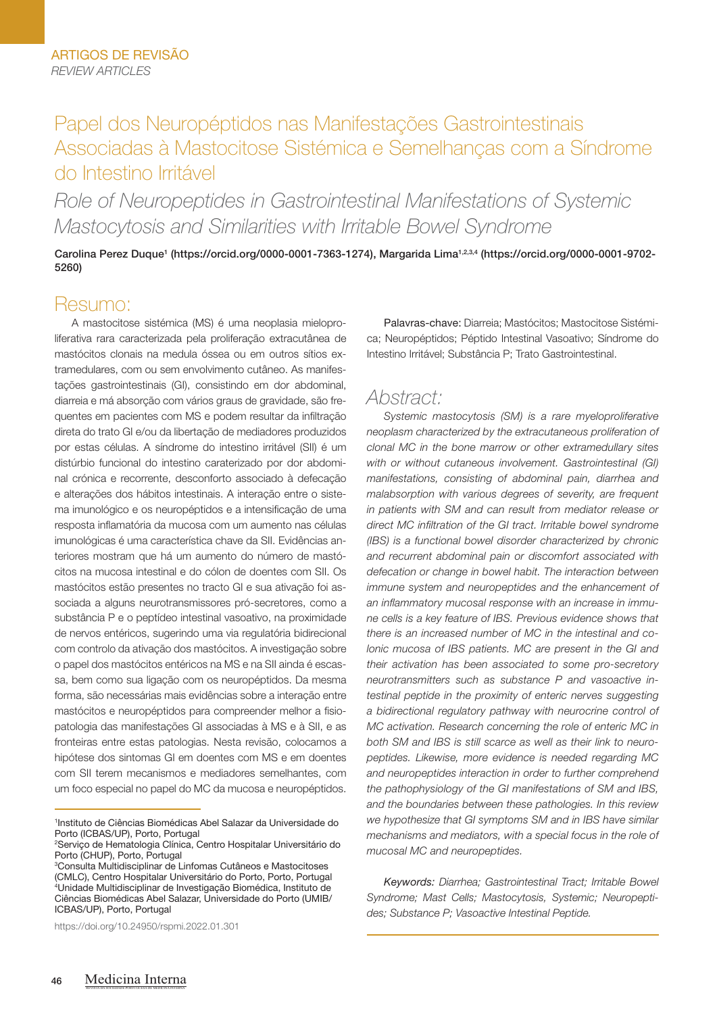# Papel dos Neuropéptidos nas Manifestações Gastrointestinais Associadas à Mastocitose Sistémica e Semelhanças com a Síndrome do Intestino Irritável

*Role of Neuropeptides in Gastrointestinal Manifestations of Systemic Mastocytosis and Similarities with Irritable Bowel Syndrome*

Carolina Perez Duque<sup>1</sup> (https://orcid.org/0000-0001-7363-1274), Margarida Lima<sup>1,2,3,4</sup> (https://orcid.org/0000-0001-9702-5260)

# Resumo:

A mastocitose sistémica (MS) é uma neoplasia mieloproliferativa rara caracterizada pela proliferação extracutânea de mastócitos clonais na medula óssea ou em outros sítios extramedulares, com ou sem envolvimento cutâneo. As manifestações gastrointestinais (GI), consistindo em dor abdominal, diarreia e má absorção com vários graus de gravidade, são frequentes em pacientes com MS e podem resultar da infiltração direta do trato GI e/ou da libertação de mediadores produzidos por estas células. A síndrome do intestino irritável (SII) é um distúrbio funcional do intestino caraterizado por dor abdominal crónica e recorrente, desconforto associado à defecação e alterações dos hábitos intestinais. A interação entre o sistema imunológico e os neuropéptidos e a intensificação de uma resposta inflamatória da mucosa com um aumento nas células imunológicas é uma característica chave da SII. Evidências anteriores mostram que há um aumento do número de mastócitos na mucosa intestinal e do cólon de doentes com SII. Os mastócitos estão presentes no tracto GI e sua ativação foi associada a alguns neurotransmissores pró-secretores, como a substância P e o peptídeo intestinal vasoativo, na proximidade de nervos entéricos, sugerindo uma via regulatória bidirecional com controlo da ativação dos mastócitos. A investigação sobre o papel dos mastócitos entéricos na MS e na SII ainda é escassa, bem como sua ligação com os neuropéptidos. Da mesma forma, são necessárias mais evidências sobre a interação entre mastócitos e neuropéptidos para compreender melhor a fisiopatologia das manifestações GI associadas à MS e à SII, e as fronteiras entre estas patologias. Nesta revisão, colocamos a hipótese dos sintomas GI em doentes com MS e em doentes com SII terem mecanismos e mediadores semelhantes, com um foco especial no papel do MC da mucosa e neuropéptidos.

https://doi.org/10.24950/rspmi.2022.01.301

Palavras-chave: Diarreia; Mastócitos; Mastocitose Sistémica; Neuropéptidos; Péptido Intestinal Vasoativo; Síndrome do Intestino Irritável; Substância P; Trato Gastrointestinal.

# *Abstract:*

*Systemic mastocytosis (SM) is a rare myeloproliferative neoplasm characterized by the extracutaneous proliferation of clonal MC in the bone marrow or other extramedullary sites with or without cutaneous involvement. GastrointestinaI (GI) manifestations, consisting of abdominal pain, diarrhea and malabsorption with various degrees of severity, are frequent in patients with SM and can result from mediator release or direct MC infiltration of the GI tract. Irritable bowel syndrome (IBS) is a functional bowel disorder characterized by chronic and recurrent abdominal pain or discomfort associated with defecation or change in bowel habit. The interaction between immune system and neuropeptides and the enhancement of an inflammatory mucosal response with an increase in immune cells is a key feature of IBS. Previous evidence shows that there is an increased number of MC in the intestinal and colonic mucosa of IBS patients. MC are present in the GI and their activation has been associated to some pro-secretory neurotransmitters such as substance P and vasoactive intestinal peptide in the proximity of enteric nerves suggesting a bidirectional regulatory pathway with neurocrine control of MC activation. Research concerning the role of enteric MC in both SM and IBS is still scarce as well as their link to neuropeptides. Likewise, more evidence is needed regarding MC and neuropeptides interaction in order to further comprehend the pathophysiology of the GI manifestations of SM and IBS, and the boundaries between these pathologies. In this review we hypothesize that GI symptoms SM and in IBS have similar mechanisms and mediators, with a special focus in the role of mucosal MC and neuropeptides.*

*Keywords: Diarrhea; Gastrointestinal Tract; Irritable Bowel Syndrome; Mast Cells; Mastocytosis, Systemic; Neuropeptides; Substance P; Vasoactive Intestinal Peptide.*

REVISTA DA SOCIEDADE PORTUGUESA DE MEDICINA INTERNA

<sup>1</sup> Instituto de Ciências Biomédicas Abel Salazar da Universidade do Porto (ICBAS/UP), Porto, Portugal

<sup>2</sup> Serviço de Hematologia Clínica, Centro Hospitalar Universitário do Porto (CHUP), Porto, Portugal

<sup>3</sup> Consulta Multidisciplinar de Linfomas Cutâneos e Mastocitoses (CMLC), Centro Hospitalar Universitário do Porto, Porto, Portugal 4 Unidade Multidisciplinar de Investigação Biomédica, Instituto de Ciências Biomédicas Abel Salazar, Universidade do Porto (UMIB/ ICBAS/UP), Porto, Portugal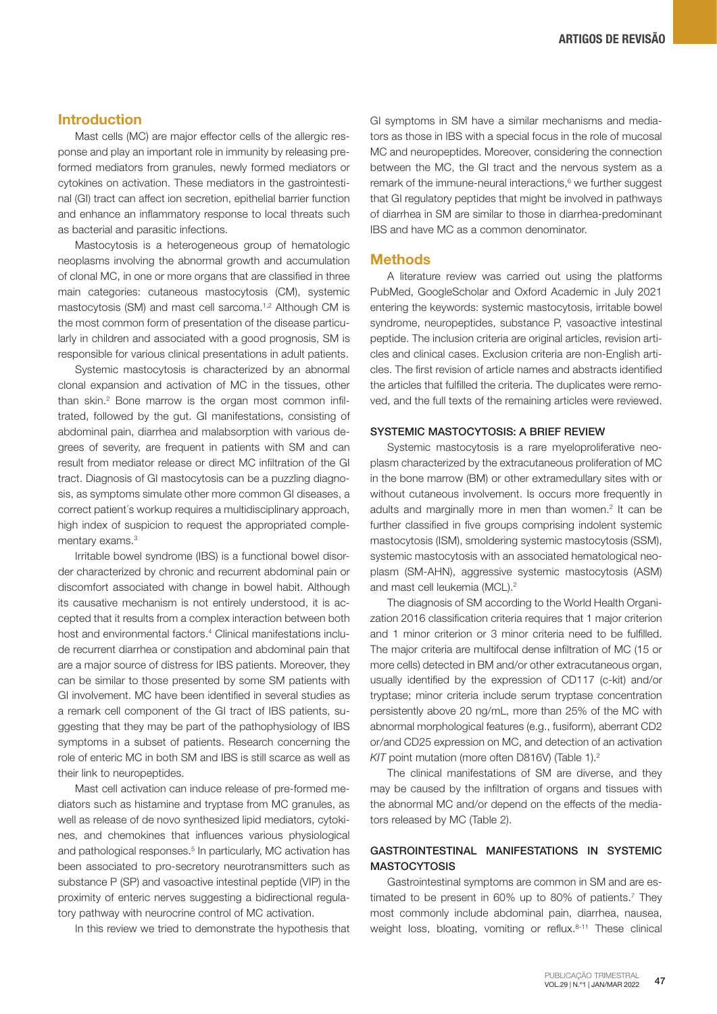# Introduction

Mast cells (MC) are major effector cells of the allergic response and play an important role in immunity by releasing preformed mediators from granules, newly formed mediators or cytokines on activation. These mediators in the gastrointestinal (GI) tract can affect ion secretion, epithelial barrier function and enhance an inflammatory response to local threats such as bacterial and parasitic infections.

Mastocytosis is a heterogeneous group of hematologic neoplasms involving the abnormal growth and accumulation of clonal MC, in one or more organs that are classified in three main categories: cutaneous mastocytosis (CM), systemic mastocytosis (SM) and mast cell sarcoma.<sup>1,2</sup> Although CM is the most common form of presentation of the disease particularly in children and associated with a good prognosis, SM is responsible for various clinical presentations in adult patients.

Systemic mastocytosis is characterized by an abnormal clonal expansion and activation of MC in the tissues, other than skin.<sup>2</sup> Bone marrow is the organ most common infiltrated, followed by the gut. GI manifestations, consisting of abdominal pain, diarrhea and malabsorption with various degrees of severity, are frequent in patients with SM and can result from mediator release or direct MC infiltration of the GI tract. Diagnosis of GI mastocytosis can be a puzzling diagnosis, as symptoms simulate other more common GI diseases, a correct patient´s workup requires a multidisciplinary approach, high index of suspicion to request the appropriated complementary exams.<sup>3</sup>

Irritable bowel syndrome (IBS) is a functional bowel disorder characterized by chronic and recurrent abdominal pain or discomfort associated with change in bowel habit. Although its causative mechanism is not entirely understood, it is accepted that it results from a complex interaction between both host and environmental factors.<sup>4</sup> Clinical manifestations include recurrent diarrhea or constipation and abdominal pain that are a major source of distress for IBS patients. Moreover, they can be similar to those presented by some SM patients with GI involvement. MC have been identified in several studies as a remark cell component of the GI tract of IBS patients, suggesting that they may be part of the pathophysiology of IBS symptoms in a subset of patients. Research concerning the role of enteric MC in both SM and IBS is still scarce as well as their link to neuropeptides.

Mast cell activation can induce release of pre-formed mediators such as histamine and tryptase from MC granules, as well as release of de novo synthesized lipid mediators, cytokines, and chemokines that influences various physiological and pathological responses.<sup>5</sup> In particularly, MC activation has been associated to pro-secretory neurotransmitters such as substance P (SP) and vasoactive intestinal peptide (VIP) in the proximity of enteric nerves suggesting a bidirectional regulatory pathway with neurocrine control of MC activation.

In this review we tried to demonstrate the hypothesis that

GI symptoms in SM have a similar mechanisms and mediators as those in IBS with a special focus in the role of mucosal MC and neuropeptides. Moreover, considering the connection between the MC, the GI tract and the nervous system as a remark of the immune-neural interactions,<sup>6</sup> we further suggest that GI regulatory peptides that might be involved in pathways of diarrhea in SM are similar to those in diarrhea-predominant IBS and have MC as a common denominator.

#### **Methods**

A literature review was carried out using the platforms PubMed, GoogleScholar and Oxford Academic in July 2021 entering the keywords: systemic mastocytosis, irritable bowel syndrome, neuropeptides, substance P, vasoactive intestinal peptide. The inclusion criteria are original articles, revision articles and clinical cases. Exclusion criteria are non-English articles. The first revision of article names and abstracts identified the articles that fulfilled the criteria. The duplicates were removed, and the full texts of the remaining articles were reviewed.

#### SYSTEMIC MASTOCYTOSIS: A BRIEF REVIEW

Systemic mastocytosis is a rare myeloproliferative neoplasm characterized by the extracutaneous proliferation of MC in the bone marrow (BM) or other extramedullary sites with or without cutaneous involvement. Is occurs more frequently in adults and marginally more in men than women.<sup>2</sup> It can be further classified in five groups comprising indolent systemic mastocytosis (ISM), smoldering systemic mastocytosis (SSM), systemic mastocytosis with an associated hematological neoplasm (SM-AHN), aggressive systemic mastocytosis (ASM) and mast cell leukemia (MCL).<sup>2</sup>

The diagnosis of SM according to the World Health Organization 2016 classification criteria requires that 1 major criterion and 1 minor criterion or 3 minor criteria need to be fulfilled. The major criteria are multifocal dense infiltration of MC (15 or more cells) detected in BM and/or other extracutaneous organ, usually identified by the expression of CD117 (c-kit) and/or tryptase; minor criteria include serum tryptase concentration persistently above 20 ng/mL, more than 25% of the MC with abnormal morphological features (e.g., fusiform), aberrant CD2 or/and CD25 expression on MC, and detection of an activation *KIT* point mutation (more often D816V) (Table 1).<sup>2</sup>

The clinical manifestations of SM are diverse, and they may be caused by the infiltration of organs and tissues with the abnormal MC and/or depend on the effects of the mediators released by MC (Table 2).

# GASTROINTESTINAL MANIFESTATIONS IN SYSTEMIC **MASTOCYTOSIS**

Gastrointestinal symptoms are common in SM and are estimated to be present in 60% up to 80% of patients.<sup>7</sup> They most commonly include abdominal pain, diarrhea, nausea, weight loss, bloating, vomiting or reflux. 8-11 These clinical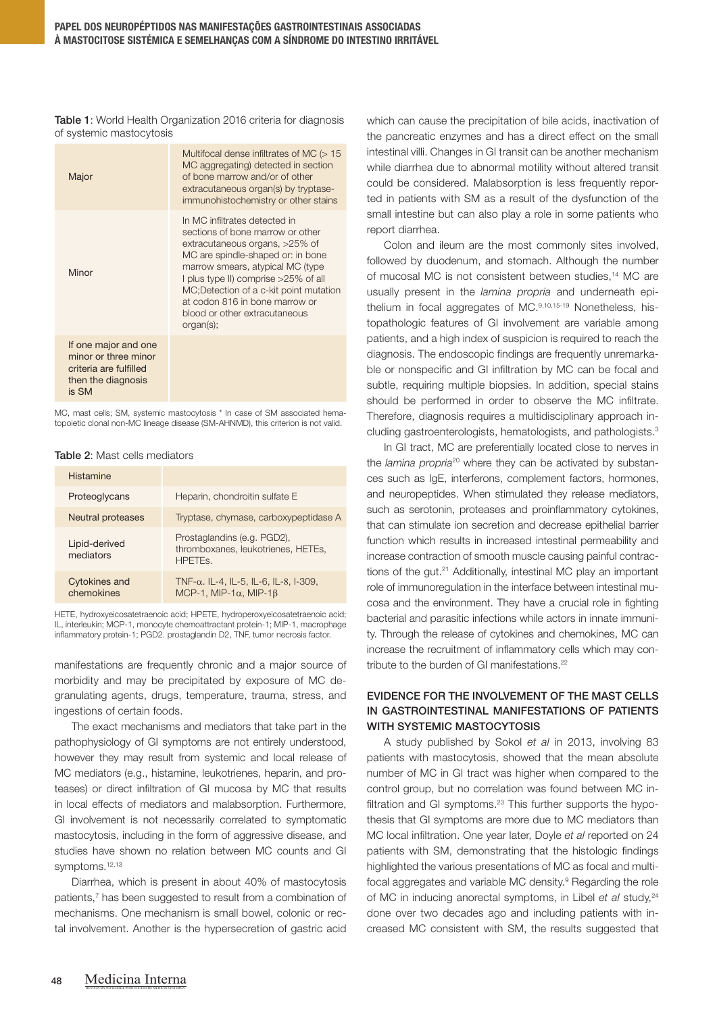Table 1: World Health Organization 2016 criteria for diagnosis of systemic mastocytosis

| Major                                                                                                 | Multifocal dense infiltrates of MC $(>15$<br>MC aggregating) detected in section<br>of bone marrow and/or of other<br>extracutaneous organ(s) by tryptase-<br>immunohistochemistry or other stains                                                                                                                                              |
|-------------------------------------------------------------------------------------------------------|-------------------------------------------------------------------------------------------------------------------------------------------------------------------------------------------------------------------------------------------------------------------------------------------------------------------------------------------------|
| Minor                                                                                                 | In MC infiltrates detected in<br>sections of bone marrow or other<br>extracutaneous organs, >25% of<br>MC are spindle-shaped or: in bone<br>marrow smears, atypical MC (type<br>I plus type II) comprise >25% of all<br>MC; Detection of a c-kit point mutation<br>at codon 816 in bone marrow or<br>blood or other extracutaneous<br>organ(s); |
| If one major and one<br>minor or three minor<br>criteria are fulfilled<br>then the diagnosis<br>is SM |                                                                                                                                                                                                                                                                                                                                                 |

MC, mast cells; SM, systemic mastocytosis \* In case of SM associated hematopoietic clonal non-MC lineage disease (SM-AHNMD), this criterion is not valid.

#### Table 2: Mast cells mediators

| <b>Histamine</b>                   |                                                                                         |
|------------------------------------|-----------------------------------------------------------------------------------------|
| Proteoglycans                      | Heparin, chondroitin sulfate E                                                          |
| <b>Neutral proteases</b>           | Tryptase, chymase, carboxypeptidase A                                                   |
| Lipid-derived<br>mediators         | Prostaglandins (e.g. PGD2),<br>thromboxanes, leukotrienes, HETEs,<br>HPFTF <sub>S</sub> |
| <b>Cytokines and</b><br>chemokines | TNF- $\alpha$ . IL-4, IL-5, IL-6, IL-8, I-309,<br>MCP-1, MIP-1 $\alpha$ , MIP-1 $\beta$ |

HETE, hydroxyeicosatetraenoic acid; HPETE, hydroperoxyeicosatetraenoic acid; IL, interleukin; MCP-1, monocyte chemoattractant protein-1; MIP-1, macrophage inflammatory protein-1; PGD2. prostaglandin D2, TNF, tumor necrosis factor.

manifestations are frequently chronic and a major source of morbidity and may be precipitated by exposure of MC degranulating agents, drugs, temperature, trauma, stress, and ingestions of certain foods.

The exact mechanisms and mediators that take part in the pathophysiology of GI symptoms are not entirely understood, however they may result from systemic and local release of MC mediators (e.g., histamine, leukotrienes, heparin, and proteases) or direct infiltration of GI mucosa by MC that results in local effects of mediators and malabsorption. Furthermore, GI involvement is not necessarily correlated to symptomatic mastocytosis, including in the form of aggressive disease, and studies have shown no relation between MC counts and GI symptoms.<sup>12,13</sup>

Diarrhea, which is present in about 40% of mastocytosis patients,<sup>7</sup> has been suggested to result from a combination of mechanisms. One mechanism is small bowel, colonic or rectal involvement. Another is the hypersecretion of gastric acid

which can cause the precipitation of bile acids, inactivation of the pancreatic enzymes and has a direct effect on the small intestinal villi. Changes in GI transit can be another mechanism while diarrhea due to abnormal motility without altered transit could be considered. Malabsorption is less frequently reported in patients with SM as a result of the dysfunction of the small intestine but can also play a role in some patients who report diarrhea.

Colon and ileum are the most commonly sites involved, followed by duodenum, and stomach. Although the number of mucosal MC is not consistent between studies,14 MC are usually present in the *lamina propria* and underneath epithelium in focal aggregates of MC.9,10,15-19 Nonetheless, histopathologic features of GI involvement are variable among patients, and a high index of suspicion is required to reach the diagnosis. The endoscopic findings are frequently unremarkable or nonspecific and GI infiltration by MC can be focal and subtle, requiring multiple biopsies. In addition, special stains should be performed in order to observe the MC infiltrate. Therefore, diagnosis requires a multidisciplinary approach including gastroenterologists, hematologists, and pathologists.<sup>3</sup>

In GI tract, MC are preferentially located close to nerves in the *lamina propria*20 where they can be activated by substances such as IgE, interferons, complement factors, hormones, and neuropeptides. When stimulated they release mediators, such as serotonin, proteases and proinflammatory cytokines, that can stimulate ion secretion and decrease epithelial barrier function which results in increased intestinal permeability and increase contraction of smooth muscle causing painful contractions of the gut.21 Additionally, intestinal MC play an important role of immunoregulation in the interface between intestinal mucosa and the environment. They have a crucial role in fighting bacterial and parasitic infections while actors in innate immunity. Through the release of cytokines and chemokines, MC can increase the recruitment of inflammatory cells which may contribute to the burden of GI manifestations.22

# EVIDENCE FOR THE INVOLVEMENT OF THE MAST CELLS IN GASTROINTESTINAL MANIFESTATIONS OF PATIENTS WITH SYSTEMIC MASTOCYTOSIS

A study published by Sokol *et al* in 2013, involving 83 patients with mastocytosis, showed that the mean absolute number of MC in GI tract was higher when compared to the control group, but no correlation was found between MC infiltration and GI symptoms.<sup>23</sup> This further supports the hypothesis that GI symptoms are more due to MC mediators than MC local infiltration. One year later, Doyle *et al* reported on 24 patients with SM, demonstrating that the histologic findings highlighted the various presentations of MC as focal and multifocal aggregates and variable MC density.<sup>9</sup> Regarding the role of MC in inducing anorectal symptoms, in Libel *et al* study,<sup>24</sup> done over two decades ago and including patients with increased MC consistent with SM, the results suggested that

REVISTA DA SOCIEDADE PORTUGUESA DE MEDICINA INTERNA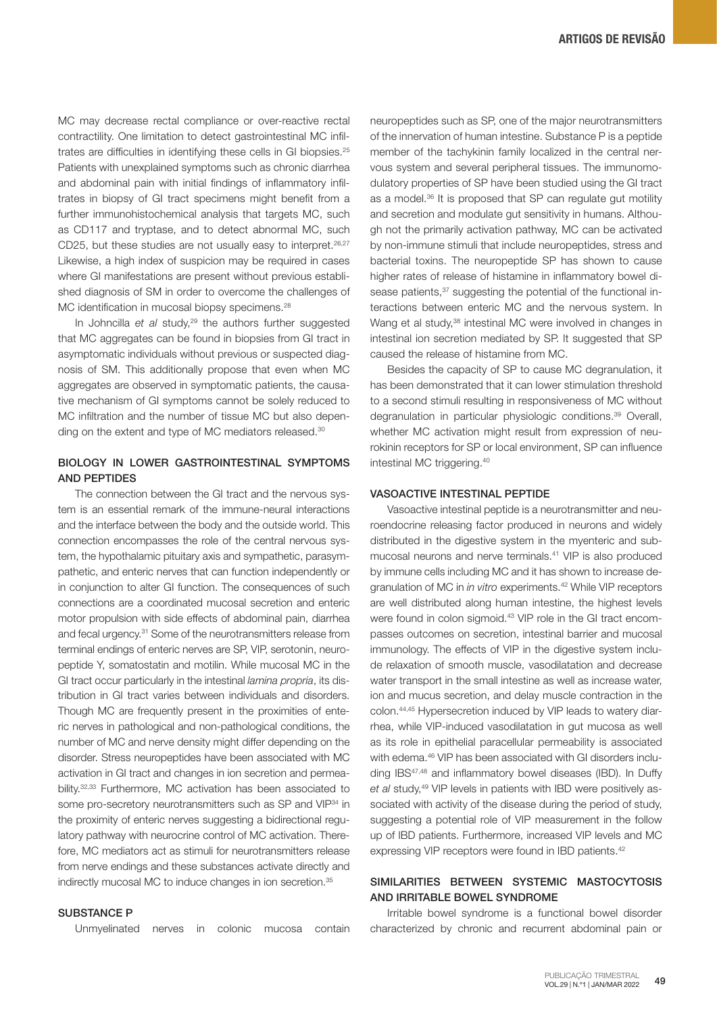MC may decrease rectal compliance or over-reactive rectal contractility. One limitation to detect gastrointestinal MC infiltrates are difficulties in identifying these cells in GI biopsies.<sup>25</sup> Patients with unexplained symptoms such as chronic diarrhea and abdominal pain with initial findings of inflammatory infiltrates in biopsy of GI tract specimens might benefit from a further immunohistochemical analysis that targets MC, such as CD117 and tryptase, and to detect abnormal MC, such CD25, but these studies are not usually easy to interpret.<sup>26,27</sup> Likewise, a high index of suspicion may be required in cases where GI manifestations are present without previous established diagnosis of SM in order to overcome the challenges of MC identification in mucosal biopsy specimens.<sup>28</sup>

In Johncilla *et al* study,<sup>29</sup> the authors further suggested that MC aggregates can be found in biopsies from GI tract in asymptomatic individuals without previous or suspected diagnosis of SM. This additionally propose that even when MC aggregates are observed in symptomatic patients, the causative mechanism of GI symptoms cannot be solely reduced to MC infiltration and the number of tissue MC but also depending on the extent and type of MC mediators released.<sup>30</sup>

### BIOLOGY IN LOWER GASTROINTESTINAL SYMPTOMS AND PEPTIDES

The connection between the GI tract and the nervous system is an essential remark of the immune-neural interactions and the interface between the body and the outside world. This connection encompasses the role of the central nervous system, the hypothalamic pituitary axis and sympathetic, parasympathetic, and enteric nerves that can function independently or in conjunction to alter GI function. The consequences of such connections are a coordinated mucosal secretion and enteric motor propulsion with side effects of abdominal pain, diarrhea and fecal urgency.31 Some of the neurotransmitters release from terminal endings of enteric nerves are SP, VIP, serotonin, neuropeptide Y, somatostatin and motilin. While mucosal MC in the GI tract occur particularly in the intestinal *lamina propria*, its distribution in GI tract varies between individuals and disorders. Though MC are frequently present in the proximities of enteric nerves in pathological and non-pathological conditions, the number of MC and nerve density might differ depending on the disorder. Stress neuropeptides have been associated with MC activation in GI tract and changes in ion secretion and permeability.32,33 Furthermore, MC activation has been associated to some pro-secretory neurotransmitters such as SP and VIP<sup>34</sup> in the proximity of enteric nerves suggesting a bidirectional regulatory pathway with neurocrine control of MC activation. Therefore, MC mediators act as stimuli for neurotransmitters release from nerve endings and these substances activate directly and indirectly mucosal MC to induce changes in ion secretion.<sup>35</sup>

#### SUBSTANCE P

Unmyelinated nerves in colonic mucosa contain

neuropeptides such as SP, one of the major neurotransmitters of the innervation of human intestine. Substance P is a peptide member of the tachykinin family localized in the central nervous system and several peripheral tissues. The immunomodulatory properties of SP have been studied using the GI tract as a model.<sup>36</sup> It is proposed that SP can regulate gut motility and secretion and modulate gut sensitivity in humans. Although not the primarily activation pathway, MC can be activated by non-immune stimuli that include neuropeptides, stress and bacterial toxins. The neuropeptide SP has shown to cause higher rates of release of histamine in inflammatory bowel disease patients,<sup>37</sup> suggesting the potential of the functional interactions between enteric MC and the nervous system. In Wang et al study,<sup>38</sup> intestinal MC were involved in changes in intestinal ion secretion mediated by SP. It suggested that SP caused the release of histamine from MC.

Besides the capacity of SP to cause MC degranulation, it has been demonstrated that it can lower stimulation threshold to a second stimuli resulting in responsiveness of MC without degranulation in particular physiologic conditions.<sup>39</sup> Overall, whether MC activation might result from expression of neurokinin receptors for SP or local environment, SP can influence intestinal MC triggering.40

### VASOACTIVE INTESTINAL PEPTIDE

Vasoactive intestinal peptide is a neurotransmitter and neuroendocrine releasing factor produced in neurons and widely distributed in the digestive system in the myenteric and submucosal neurons and nerve terminals.41 VIP is also produced by immune cells including MC and it has shown to increase degranulation of MC in *in vitro* experiments.42 While VIP receptors are well distributed along human intestine, the highest levels were found in colon sigmoid.<sup>43</sup> VIP role in the GI tract encompasses outcomes on secretion, intestinal barrier and mucosal immunology. The effects of VIP in the digestive system include relaxation of smooth muscle, vasodilatation and decrease water transport in the small intestine as well as increase water, ion and mucus secretion, and delay muscle contraction in the colon.44,45 Hypersecretion induced by VIP leads to watery diarrhea, while VIP-induced vasodilatation in gut mucosa as well as its role in epithelial paracellular permeability is associated with edema.<sup>46</sup> VIP has been associated with GI disorders including IBS47,48 and inflammatory bowel diseases (IBD). In Duffy *et al* study,49 VIP levels in patients with IBD were positively associated with activity of the disease during the period of study, suggesting a potential role of VIP measurement in the follow up of IBD patients. Furthermore, increased VIP levels and MC expressing VIP receptors were found in IBD patients.<sup>42</sup>

# SIMILARITIES BETWEEN SYSTEMIC MASTOCYTOSIS AND IRRITABLE BOWEL SYNDROME

Irritable bowel syndrome is a functional bowel disorder characterized by chronic and recurrent abdominal pain or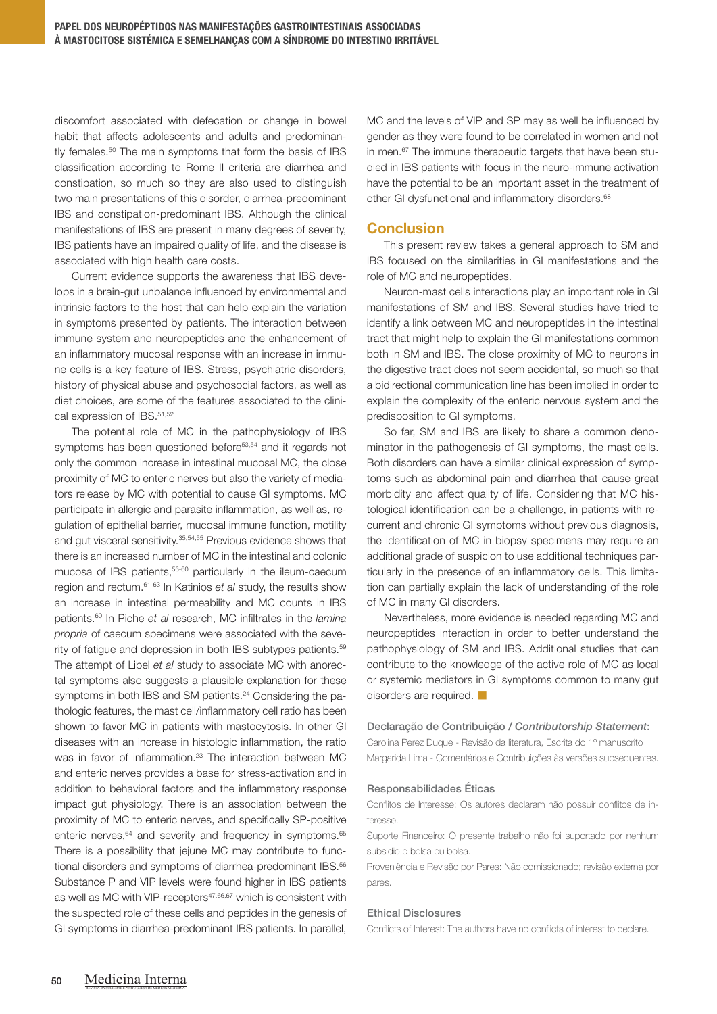discomfort associated with defecation or change in bowel habit that affects adolescents and adults and predominantly females.<sup>50</sup> The main symptoms that form the basis of IBS classification according to Rome II criteria are diarrhea and constipation, so much so they are also used to distinguish two main presentations of this disorder, diarrhea-predominant IBS and constipation-predominant IBS. Although the clinical manifestations of IBS are present in many degrees of severity, IBS patients have an impaired quality of life, and the disease is associated with high health care costs.

Current evidence supports the awareness that IBS develops in a brain-gut unbalance influenced by environmental and intrinsic factors to the host that can help explain the variation in symptoms presented by patients. The interaction between immune system and neuropeptides and the enhancement of an inflammatory mucosal response with an increase in immune cells is a key feature of IBS. Stress, psychiatric disorders, history of physical abuse and psychosocial factors, as well as diet choices, are some of the features associated to the clinical expression of IBS.<sup>51,52</sup>

The potential role of MC in the pathophysiology of IBS symptoms has been questioned before<sup>53,54</sup> and it regards not only the common increase in intestinal mucosal MC, the close proximity of MC to enteric nerves but also the variety of mediators release by MC with potential to cause GI symptoms. MC participate in allergic and parasite inflammation, as well as, regulation of epithelial barrier, mucosal immune function, motility and gut visceral sensitivity.<sup>35,54,55</sup> Previous evidence shows that there is an increased number of MC in the intestinal and colonic mucosa of IBS patients,<sup>56-60</sup> particularly in the ileum-caecum region and rectum.61-63 In Katinios *et al* study, the results show an increase in intestinal permeability and MC counts in IBS patients.60 In Piche *et al* research, MC infiltrates in the *lamina propria* of caecum specimens were associated with the severity of fatigue and depression in both IBS subtypes patients.59 The attempt of Libel *et al* study to associate MC with anorectal symptoms also suggests a plausible explanation for these symptoms in both IBS and SM patients.<sup>24</sup> Considering the pathologic features, the mast cell/inflammatory cell ratio has been shown to favor MC in patients with mastocytosis. In other GI diseases with an increase in histologic inflammation, the ratio was in favor of inflammation.<sup>23</sup> The interaction between MC and enteric nerves provides a base for stress-activation and in addition to behavioral factors and the inflammatory response impact gut physiology. There is an association between the proximity of MC to enteric nerves, and specifically SP-positive enteric nerves,<sup>64</sup> and severity and frequency in symptoms.<sup>65</sup> There is a possibility that jejune MC may contribute to functional disorders and symptoms of diarrhea-predominant IBS.<sup>56</sup> Substance P and VIP levels were found higher in IBS patients as well as MC with VIP-receptors<sup>47,66,67</sup> which is consistent with the suspected role of these cells and peptides in the genesis of GI symptoms in diarrhea-predominant IBS patients. In parallel,

MC and the levels of VIP and SP may as well be influenced by gender as they were found to be correlated in women and not in men.<sup>67</sup> The immune therapeutic targets that have been studied in IBS patients with focus in the neuro-immune activation have the potential to be an important asset in the treatment of other GI dysfunctional and inflammatory disorders.68

# **Conclusion**

This present review takes a general approach to SM and IBS focused on the similarities in GI manifestations and the role of MC and neuropeptides.

Neuron-mast cells interactions play an important role in GI manifestations of SM and IBS. Several studies have tried to identify a link between MC and neuropeptides in the intestinal tract that might help to explain the GI manifestations common both in SM and IBS. The close proximity of MC to neurons in the digestive tract does not seem accidental, so much so that a bidirectional communication line has been implied in order to explain the complexity of the enteric nervous system and the predisposition to GI symptoms.

So far, SM and IBS are likely to share a common denominator in the pathogenesis of GI symptoms, the mast cells. Both disorders can have a similar clinical expression of symptoms such as abdominal pain and diarrhea that cause great morbidity and affect quality of life. Considering that MC histological identification can be a challenge, in patients with recurrent and chronic GI symptoms without previous diagnosis, the identification of MC in biopsy specimens may require an additional grade of suspicion to use additional techniques particularly in the presence of an inflammatory cells. This limitation can partially explain the lack of understanding of the role of MC in many GI disorders.

Nevertheless, more evidence is needed regarding MC and neuropeptides interaction in order to better understand the pathophysiology of SM and IBS. Additional studies that can contribute to the knowledge of the active role of MC as local or systemic mediators in GI symptoms common to many gut disorders are required.

#### Declaração de Contribuição / *Contributorship Statement*:

Carolina Perez Duque - Revisão da literatura, Escrita do 1º manuscrito Margarida Lima - Comentários e Contribuições às versões subsequentes.

#### Responsabilidades Éticas

Conflitos de Interesse: Os autores declaram não possuir conflitos de interesse.

Suporte Financeiro: O presente trabalho não foi suportado por nenhum subsidio o bolsa ou bolsa.

Proveniência e Revisão por Pares: Não comissionado; revisão externa por pares.

#### Ethical Disclosures

Conflicts of Interest: The authors have no conflicts of interest to declare.

REVISTA DA SOCIEDADE PORTUGUESA DE MEDICINA INTERNA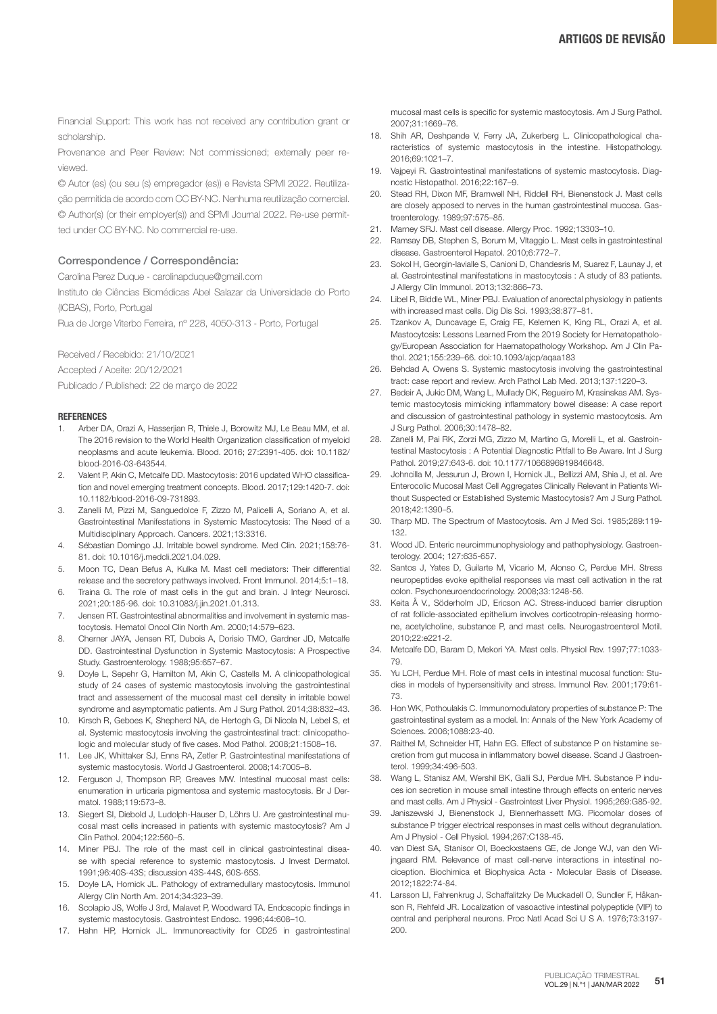Financial Support: This work has not received any contribution grant or scholarship.

Provenance and Peer Review: Not commissioned; externally peer reviewed.

© Autor (es) (ou seu (s) empregador (es)) e Revista SPMI 2022. Reutilização permitida de acordo com CC BY-NC. Nenhuma reutilização comercial. © Author(s) (or their employer(s)) and SPMI Journal 2022. Re-use permitted under CC BY-NC. No commercial re-use.

#### Correspondence / Correspondência:

Carolina Perez Duque - carolinapduque@gmail.com

Instituto de Ciências Biomédicas Abel Salazar da Universidade do Porto (ICBAS), Porto, Portugal

Rua de Jorge Viterbo Ferreira, nº 228, 4050-313 - Porto, Portugal

Received / Recebido: 21/10/2021 Accepted / Aceite: 20/12/2021 Publicado / Published: 22 de março de 2022

#### **REFERENCES**

- Arber DA, Orazi A, Hasserjian R, Thiele J, Borowitz MJ, Le Beau MM, et al. The 2016 revision to the World Health Organization classification of myeloid neoplasms and acute leukemia. Blood. 2016; 27:2391-405. doi: 10.1182/ blood-2016-03-643544.
- 2. Valent P, Akin C, Metcalfe DD. Mastocytosis: 2016 updated WHO classification and novel emerging treatment concepts. Blood. 2017;129:1420-7. doi: 10.1182/blood-2016-09-731893.
- 3. Zanelli M, Pizzi M, Sanguedolce F, Zizzo M, Palicelli A, Soriano A, et al. Gastrointestinal Manifestations in Systemic Mastocytosis: The Need of a Multidisciplinary Approach. Cancers. 2021;13:3316.
- 4. Sébastian Domingo JJ. Irritable bowel syndrome. Med Clin. 2021;158:76- 81. doi: 10.1016/j.medcli.2021.04.029.
- 5. Moon TC, Dean Befus A, Kulka M. Mast cell mediators: Their differential release and the secretory pathways involved. Front Immunol. 2014;5:1–18.
- 6. Traina G. The role of mast cells in the gut and brain. J Integr Neurosci. 2021;20:185-96. doi: 10.31083/j.jin.2021.01.313.
- 7. Jensen RT. Gastrointestinal abnormalities and involvement in systemic mastocytosis. Hematol Oncol Clin North Am. 2000;14:579–623.
- 8. Cherner JAYA, Jensen RT, Dubois A, Dorisio TMO, Gardner JD, Metcalfe DD. Gastrointestinal Dysfunction in Systemic Mastocytosis: A Prospective Study. Gastroenterology. 1988;95:657–67.
- 9. Doyle L, Sepehr G, Hamilton M, Akin C, Castells M. A clinicopathological study of 24 cases of systemic mastocytosis involving the gastrointestinal tract and assessement of the mucosal mast cell density in irritable bowel syndrome and asymptomatic patients. Am J Surg Pathol. 2014;38:832–43.
- 10. Kirsch R, Geboes K, Shepherd NA, de Hertogh G, Di Nicola N, Lebel S, et al. Systemic mastocytosis involving the gastrointestinal tract: clinicopathologic and molecular study of five cases. Mod Pathol. 2008;21:1508–16.
- 11. Lee JK, Whittaker SJ, Enns RA, Zetler P. Gastrointestinal manifestations of systemic mastocytosis. World J Gastroenterol. 2008;14:7005–8.
- 12. Ferguson J, Thompson RP, Greaves MW. Intestinal mucosal mast cells: enumeration in urticaria pigmentosa and systemic mastocytosis. Br J Dermatol. 1988;119:573–8.
- 13. Siegert SI, Diebold J, Ludolph-Hauser D, Löhrs U. Are gastrointestinal mucosal mast cells increased in patients with systemic mastocytosis? Am J Clin Pathol. 2004;122:560–5.
- 14. Miner PBJ. The role of the mast cell in clinical gastrointestinal disease with special reference to systemic mastocytosis. J Invest Dermatol. 1991;96:40S-43S; discussion 43S-44S, 60S-65S.
- 15. Doyle LA, Hornick JL. Pathology of extramedullary mastocytosis. Immunol Allergy Clin North Am. 2014;34:323–39.
- 16. Scolapio JS, Wolfe J 3rd, Malavet P, Woodward TA. Endoscopic findings in systemic mastocytosis. Gastrointest Endosc. 1996;44:608–10.
- 17. Hahn HP, Hornick JL. Immunoreactivity for CD25 in gastrointestinal

mucosal mast cells is specific for systemic mastocytosis. Am J Surg Pathol. 2007;31:1669–76.

- 18. Shih AR, Deshpande V, Ferry JA, Zukerberg L. Clinicopathological characteristics of systemic mastocytosis in the intestine. Histopathology. 2016;69:1021–7.
- 19. Vajpeyi R. Gastrointestinal manifestations of systemic mastocytosis. Diagnostic Histopathol. 2016;22:167–9.
- 20. Stead RH, Dixon MF, Bramwell NH, Riddell RH, Bienenstock J. Mast cells are closely apposed to nerves in the human gastrointestinal mucosa. Gastroenterology. 1989;97:575–85.
- 21. Marney SRJ. Mast cell disease. Allergy Proc. 1992;13303–10.
- 22. Ramsay DB, Stephen S, Borum M, Vltaggio L. Mast cells in gastrointestinal disease. Gastroenterol Hepatol. 2010;6:772–7.
- 23. Sokol H, Georgin-lavialle S, Canioni D, Chandesris M, Suarez F, Launay J, et al. Gastrointestinal manifestations in mastocytosis : A study of 83 patients. J Allergy Clin Immunol. 2013;132:866–73.
- 24. Libel R, Biddle WL, Miner PBJ. Evaluation of anorectal physiology in patients with increased mast cells. Dig Dis Sci. 1993;38:877–81.
- 25. Tzankov A, Duncavage E, Craig FE, Kelemen K, King RL, Orazi A, et al. Mastocytosis: Lessons Learned From the 2019 Society for Hematopathology/European Association for Haematopathology Workshop. Am J Clin Pathol. 2021;155:239–66. doi:10.1093/ajcp/aqaa183
- 26. Behdad A, Owens S. Systemic mastocytosis involving the gastrointestinal tract: case report and review. Arch Pathol Lab Med. 2013;137:1220–3.
- 27. Bedeir A, Jukic DM, Wang L, Mullady DK, Regueiro M, Krasinskas AM. Systemic mastocytosis mimicking inflammatory bowel disease: A case report and discussion of gastrointestinal pathology in systemic mastocytosis. Am J Surg Pathol. 2006;30:1478–82.
- 28. Zanelli M, Pai RK, Zorzi MG, Zizzo M, Martino G, Morelli L, et al. Gastrointestinal Mastocytosis : A Potential Diagnostic Pitfall to Be Aware. Int J Surg Pathol. 2019;27:643-6. doi: 10.1177/1066896919846648.
- 29. Johncilla M, Jessurun J, Brown I, Hornick JL, Bellizzi AM, Shia J, et al. Are Enterocolic Mucosal Mast Cell Aggregates Clinically Relevant in Patients Without Suspected or Established Systemic Mastocytosis? Am J Surg Pathol. 2018;42:1390–5.
- 30. Tharp MD. The Spectrum of Mastocytosis. Am J Med Sci. 1985;289:119- 132.
- 31. Wood JD. Enteric neuroimmunophysiology and pathophysiology. Gastroenterology. 2004; 127:635-657.
- 32. Santos J, Yates D, Guilarte M, Vicario M, Alonso C, Perdue MH. Stress neuropeptides evoke epithelial responses via mast cell activation in the rat colon. Psychoneuroendocrinology. 2008;33:1248-56.
- 33. Keita Å V., Söderholm JD, Ericson AC. Stress-induced barrier disruption of rat follicle-associated epithelium involves corticotropin-releasing hormone, acetylcholine, substance P, and mast cells. Neurogastroenterol Motil. 2010;22:e221-2.
- 34. Metcalfe DD, Baram D, Mekori YA. Mast cells. Physiol Rev. 1997;77:1033- 79.
- 35. Yu LCH, Perdue MH. Role of mast cells in intestinal mucosal function: Studies in models of hypersensitivity and stress. Immunol Rev. 2001;179:61- 73.
- 36. Hon WK, Pothoulakis C. Immunomodulatory properties of substance P: The gastrointestinal system as a model. In: Annals of the New York Academy of Sciences. 2006;1088:23-40.
- 37. Raithel M, Schneider HT, Hahn EG. Effect of substance P on histamine secretion from gut mucosa in inflammatory bowel disease. Scand J Gastroenterol. 1999;34:496-503.
- 38. Wang L, Stanisz AM, Wershil BK, Galli SJ, Perdue MH. Substance P induces ion secretion in mouse small intestine through effects on enteric nerves and mast cells. Am J Physiol - Gastrointest Liver Physiol. 1995;269:G85-92.
- 39. Janiszewski J, Bienenstock J, Blennerhassett MG. Picomolar doses of substance P trigger electrical responses in mast cells without degranulation. Am J Physiol - Cell Physiol. 1994;267:C138-45.
- 40. van Diest SA, Stanisor OI, Boeckxstaens GE, de Jonge WJ, van den Wijngaard RM. Relevance of mast cell-nerve interactions in intestinal nociception. Biochimica et Biophysica Acta - Molecular Basis of Disease. 2012;1822:74-84.
- 41. Larsson LI, Fahrenkrug J, Schaffalitzky De Muckadell O, Sundler F, Håkanson R, Rehfeld JR. Localization of vasoactive intestinal polypeptide (VIP) to central and peripheral neurons. Proc Natl Acad Sci U S A. 1976;73:3197- 200.